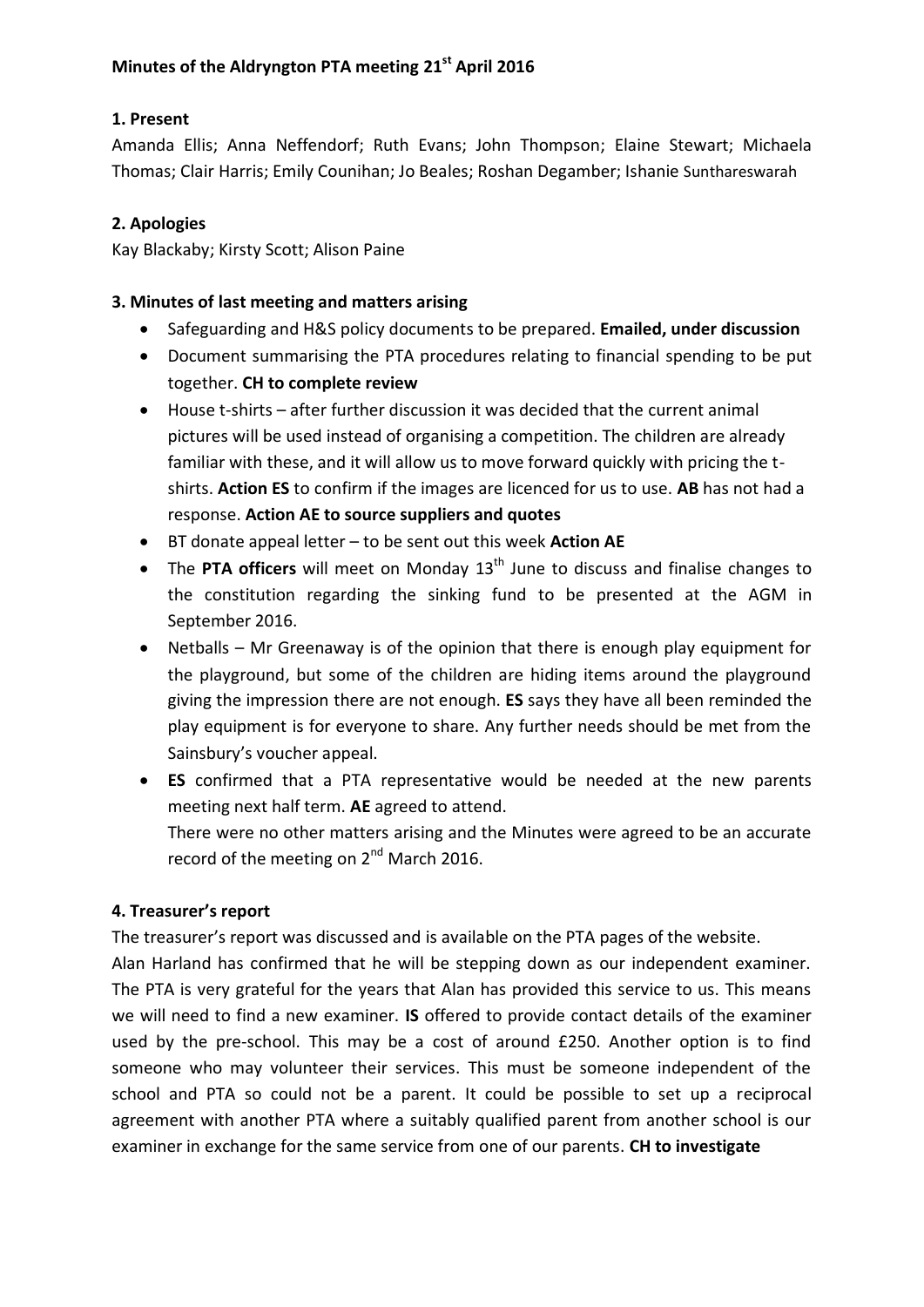# **1. Present**

Amanda Ellis; Anna Neffendorf; Ruth Evans; John Thompson; Elaine Stewart; Michaela Thomas; Clair Harris; Emily Counihan; Jo Beales; Roshan Degamber; Ishanie Sunthareswarah

# **2. Apologies**

Kay Blackaby; Kirsty Scott; Alison Paine

## **3. Minutes of last meeting and matters arising**

- Safeguarding and H&S policy documents to be prepared. **Emailed, under discussion**
- Document summarising the PTA procedures relating to financial spending to be put together. **CH to complete review**
- House t-shirts after further discussion it was decided that the current animal pictures will be used instead of organising a competition. The children are already familiar with these, and it will allow us to move forward quickly with pricing the tshirts. **Action ES** to confirm if the images are licenced for us to use. **AB** has not had a response. **Action AE to source suppliers and quotes**
- BT donate appeal letter to be sent out this week **Action AE**
- The PTA officers will meet on Monday 13<sup>th</sup> June to discuss and finalise changes to the constitution regarding the sinking fund to be presented at the AGM in September 2016.
- Netballs Mr Greenaway is of the opinion that there is enough play equipment for the playground, but some of the children are hiding items around the playground giving the impression there are not enough. **ES** says they have all been reminded the play equipment is for everyone to share. Any further needs should be met from the Sainsbury's voucher appeal.
- **ES** confirmed that a PTA representative would be needed at the new parents meeting next half term. **AE** agreed to attend. There were no other matters arising and the Minutes were agreed to be an accurate record of the meeting on 2<sup>nd</sup> March 2016.

# **4. Treasurer's report**

The treasurer's report was discussed and is available on the PTA pages of the website.

Alan Harland has confirmed that he will be stepping down as our independent examiner. The PTA is very grateful for the years that Alan has provided this service to us. This means we will need to find a new examiner. **IS** offered to provide contact details of the examiner used by the pre-school. This may be a cost of around £250. Another option is to find someone who may volunteer their services. This must be someone independent of the school and PTA so could not be a parent. It could be possible to set up a reciprocal agreement with another PTA where a suitably qualified parent from another school is our examiner in exchange for the same service from one of our parents. **CH to investigate**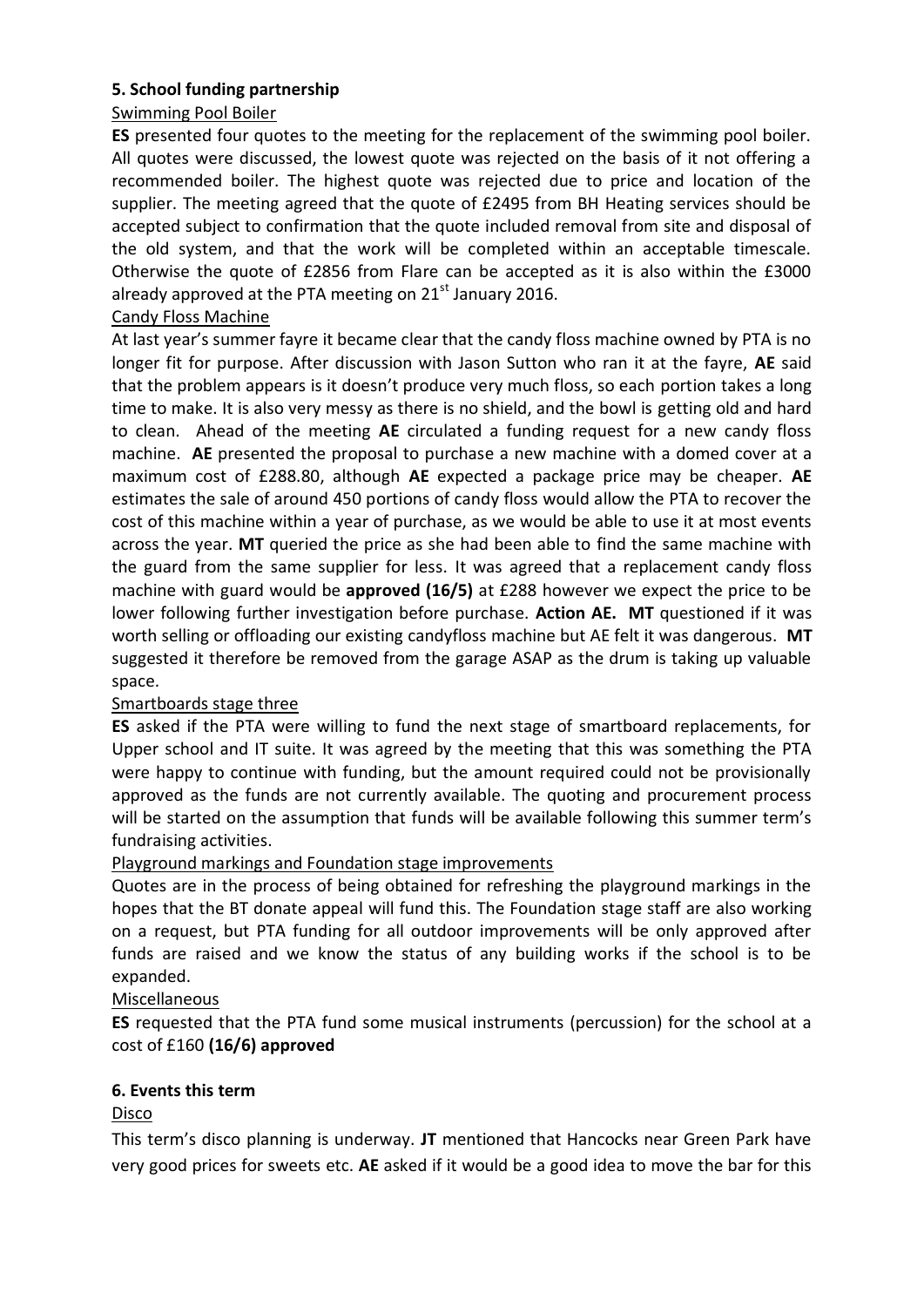## **5. School funding partnership**

## Swimming Pool Boiler

**ES** presented four quotes to the meeting for the replacement of the swimming pool boiler. All quotes were discussed, the lowest quote was rejected on the basis of it not offering a recommended boiler. The highest quote was rejected due to price and location of the supplier. The meeting agreed that the quote of £2495 from BH Heating services should be accepted subject to confirmation that the quote included removal from site and disposal of the old system, and that the work will be completed within an acceptable timescale. Otherwise the quote of £2856 from Flare can be accepted as it is also within the £3000 already approved at the PTA meeting on  $21<sup>st</sup>$  January 2016.

## Candy Floss Machine

At last year's summer fayre it became clear that the candy floss machine owned by PTA is no longer fit for purpose. After discussion with Jason Sutton who ran it at the fayre, **AE** said that the problem appears is it doesn't produce very much floss, so each portion takes a long time to make. It is also very messy as there is no shield, and the bowl is getting old and hard to clean. Ahead of the meeting **AE** circulated a funding request for a new candy floss machine. **AE** presented the proposal to purchase a new machine with a domed cover at a maximum cost of £288.80, although **AE** expected a package price may be cheaper. **AE** estimates the sale of around 450 portions of candy floss would allow the PTA to recover the cost of this machine within a year of purchase, as we would be able to use it at most events across the year. **MT** queried the price as she had been able to find the same machine with the guard from the same supplier for less. It was agreed that a replacement candy floss machine with guard would be **approved (16/5)** at £288 however we expect the price to be lower following further investigation before purchase. **Action AE. MT** questioned if it was worth selling or offloading our existing candyfloss machine but AE felt it was dangerous. **MT** suggested it therefore be removed from the garage ASAP as the drum is taking up valuable space.

## Smartboards stage three

**ES** asked if the PTA were willing to fund the next stage of smartboard replacements, for Upper school and IT suite. It was agreed by the meeting that this was something the PTA were happy to continue with funding, but the amount required could not be provisionally approved as the funds are not currently available. The quoting and procurement process will be started on the assumption that funds will be available following this summer term's fundraising activities.

## Playground markings and Foundation stage improvements

Quotes are in the process of being obtained for refreshing the playground markings in the hopes that the BT donate appeal will fund this. The Foundation stage staff are also working on a request, but PTA funding for all outdoor improvements will be only approved after funds are raised and we know the status of any building works if the school is to be expanded.

## Miscellaneous

**ES** requested that the PTA fund some musical instruments (percussion) for the school at a cost of £160 **(16/6) approved**

## **6. Events this term**

## Disco

This term's disco planning is underway. **JT** mentioned that Hancocks near Green Park have very good prices for sweets etc. **AE** asked if it would be a good idea to move the bar for this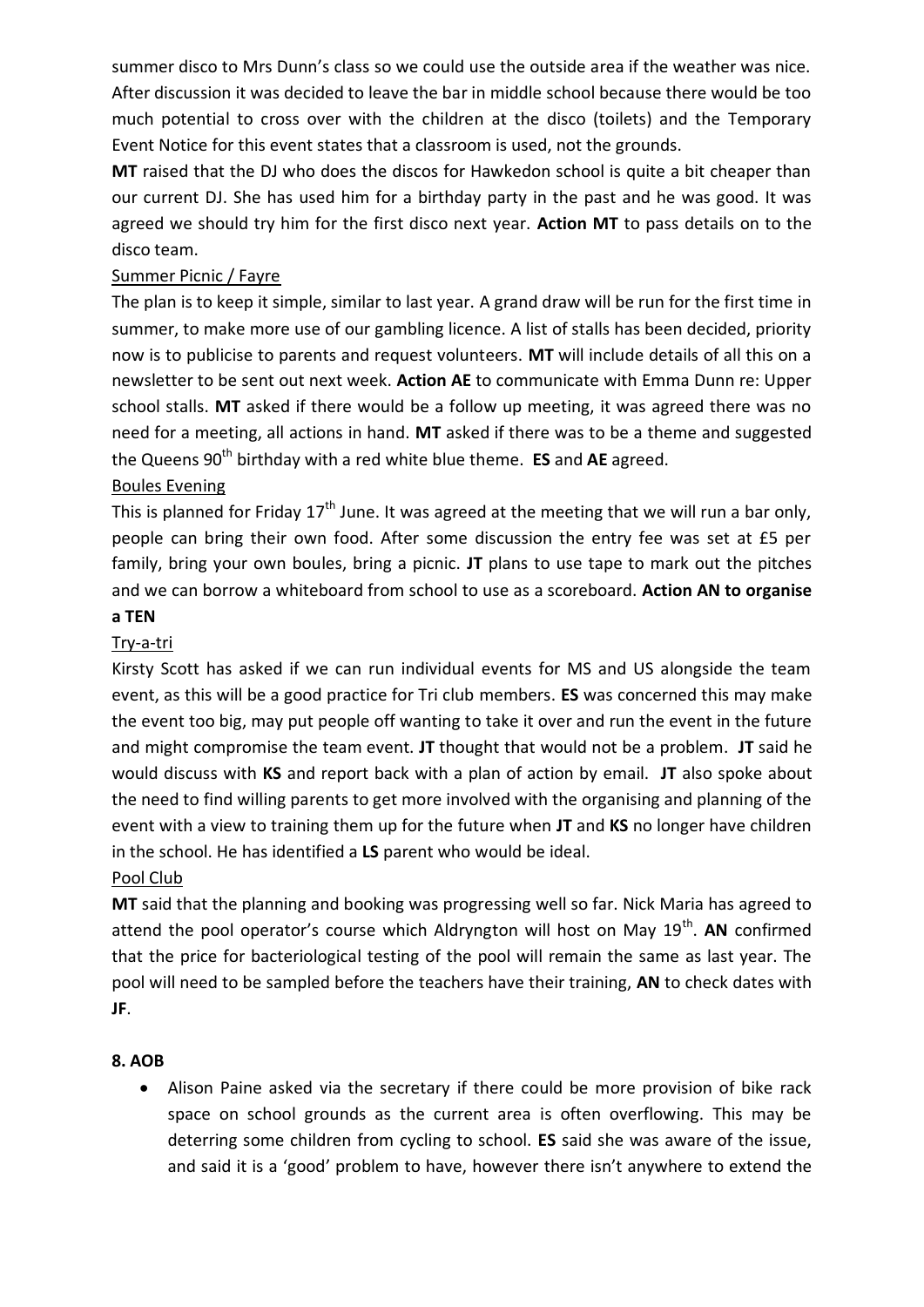summer disco to Mrs Dunn's class so we could use the outside area if the weather was nice. After discussion it was decided to leave the bar in middle school because there would be too much potential to cross over with the children at the disco (toilets) and the Temporary Event Notice for this event states that a classroom is used, not the grounds.

**MT** raised that the DJ who does the discos for Hawkedon school is quite a bit cheaper than our current DJ. She has used him for a birthday party in the past and he was good. It was agreed we should try him for the first disco next year. **Action MT** to pass details on to the disco team.

## Summer Picnic / Fayre

The plan is to keep it simple, similar to last year. A grand draw will be run for the first time in summer, to make more use of our gambling licence. A list of stalls has been decided, priority now is to publicise to parents and request volunteers. **MT** will include details of all this on a newsletter to be sent out next week. **Action AE** to communicate with Emma Dunn re: Upper school stalls. **MT** asked if there would be a follow up meeting, it was agreed there was no need for a meeting, all actions in hand. **MT** asked if there was to be a theme and suggested the Queens 90<sup>th</sup> birthday with a red white blue theme. **ES** and AE agreed.

## Boules Evening

This is planned for Friday  $17<sup>th</sup>$  June. It was agreed at the meeting that we will run a bar only, people can bring their own food. After some discussion the entry fee was set at £5 per family, bring your own boules, bring a picnic. **JT** plans to use tape to mark out the pitches and we can borrow a whiteboard from school to use as a scoreboard. **Action AN to organise** 

#### **a TEN**

## Try-a-tri

Kirsty Scott has asked if we can run individual events for MS and US alongside the team event, as this will be a good practice for Tri club members. **ES** was concerned this may make the event too big, may put people off wanting to take it over and run the event in the future and might compromise the team event. **JT** thought that would not be a problem. **JT** said he would discuss with **KS** and report back with a plan of action by email. **JT** also spoke about the need to find willing parents to get more involved with the organising and planning of the event with a view to training them up for the future when **JT** and **KS** no longer have children in the school. He has identified a **LS** parent who would be ideal.

## Pool Club

**MT** said that the planning and booking was progressing well so far. Nick Maria has agreed to attend the pool operator's course which Aldryngton will host on May 19<sup>th</sup>. AN confirmed that the price for bacteriological testing of the pool will remain the same as last year. The pool will need to be sampled before the teachers have their training, **AN** to check dates with **JF**.

## **8. AOB**

 Alison Paine asked via the secretary if there could be more provision of bike rack space on school grounds as the current area is often overflowing. This may be deterring some children from cycling to school. **ES** said she was aware of the issue, and said it is a 'good' problem to have, however there isn't anywhere to extend the